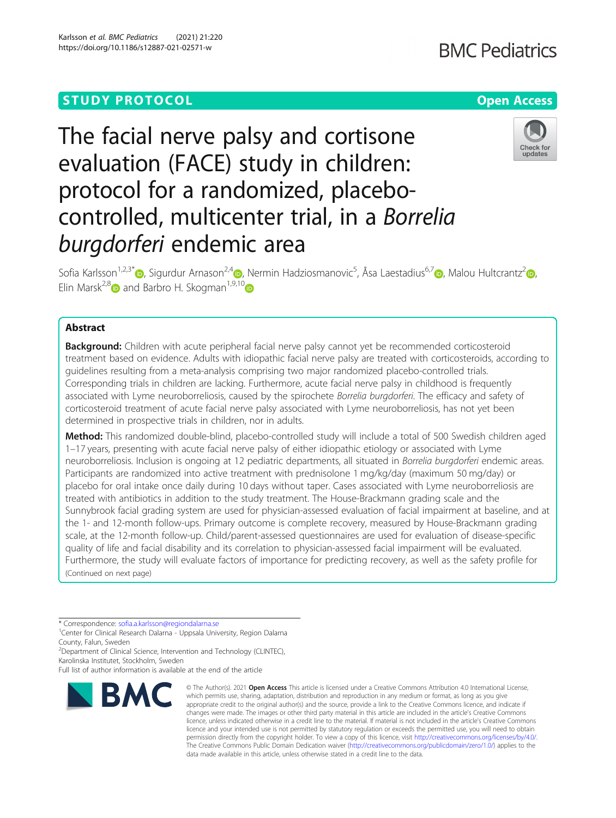# **STUDY PROTOCOL CONSUMING THE RESERVE ACCESS**

# The facial nerve palsy and cortisone evaluation (FACE) study in children: protocol for a randomized, placebocontrolled, multicenter trial, in a Borrelia burgdorferi endemic area

Sofia Karlsson<sup>1,2,3[\\*](http://orcid.org/0000-0002-1927-9764)</sup>®[,](https://orcid.org/0000-0002-1489-5410) Sigurdur Arnason<sup>2,4</sup>®, Nermin Hadziosmanovic<sup>5</sup>, Åsa Laestadius<sup>6,7</sup>®, Malou Hultcrantz<sup>2</sup>®, Elin Marsk<sup>2,[8](https://orcid.org/0000-0002-1446-1305)</sup> and Barbro H. Skogman<sup>1,9,10</sup>

# Abstract

**Background:** Children with acute peripheral facial nerve palsy cannot yet be recommended corticosteroid treatment based on evidence. Adults with idiopathic facial nerve palsy are treated with corticosteroids, according to guidelines resulting from a meta-analysis comprising two major randomized placebo-controlled trials. Corresponding trials in children are lacking. Furthermore, acute facial nerve palsy in childhood is frequently associated with Lyme neuroborreliosis, caused by the spirochete Borrelia burgdorferi. The efficacy and safety of corticosteroid treatment of acute facial nerve palsy associated with Lyme neuroborreliosis, has not yet been determined in prospective trials in children, nor in adults.

Method: This randomized double-blind, placebo-controlled study will include a total of 500 Swedish children aged 1–17 years, presenting with acute facial nerve palsy of either idiopathic etiology or associated with Lyme neuroborreliosis. Inclusion is ongoing at 12 pediatric departments, all situated in Borrelia burgdorferi endemic areas. Participants are randomized into active treatment with prednisolone 1 mg/kg/day (maximum 50 mg/day) or placebo for oral intake once daily during 10 days without taper. Cases associated with Lyme neuroborreliosis are treated with antibiotics in addition to the study treatment. The House-Brackmann grading scale and the Sunnybrook facial grading system are used for physician-assessed evaluation of facial impairment at baseline, and at the 1- and 12-month follow-ups. Primary outcome is complete recovery, measured by House-Brackmann grading scale, at the 12-month follow-up. Child/parent-assessed questionnaires are used for evaluation of disease-specific quality of life and facial disability and its correlation to physician-assessed facial impairment will be evaluated. Furthermore, the study will evaluate factors of importance for predicting recovery, as well as the safety profile for (Continued on next page)

\* Correspondence: [sofia.a.karlsson@regiondalarna.se](mailto:sofia.a.karlsson@regiondalarna.se) <sup>1</sup>

<sup>1</sup> Center for Clinical Research Dalarna - Uppsala University, Region Dalarna County, Falun, Sweden

<sup>2</sup>Department of Clinical Science, Intervention and Technology (CLINTEC), Karolinska Institutet, Stockholm, Sweden

Full list of author information is available at the end of the article



<sup>©</sup> The Author(s), 2021 **Open Access** This article is licensed under a Creative Commons Attribution 4.0 International License, which permits use, sharing, adaptation, distribution and reproduction in any medium or format, as long as you give appropriate credit to the original author(s) and the source, provide a link to the Creative Commons licence, and indicate if changes were made. The images or other third party material in this article are included in the article's Creative Commons licence, unless indicated otherwise in a credit line to the material. If material is not included in the article's Creative Commons licence and your intended use is not permitted by statutory regulation or exceeds the permitted use, you will need to obtain permission directly from the copyright holder. To view a copy of this licence, visit [http://creativecommons.org/licenses/by/4.0/.](http://creativecommons.org/licenses/by/4.0/) The Creative Commons Public Domain Dedication waiver [\(http://creativecommons.org/publicdomain/zero/1.0/](http://creativecommons.org/publicdomain/zero/1.0/)) applies to the data made available in this article, unless otherwise stated in a credit line to the data.

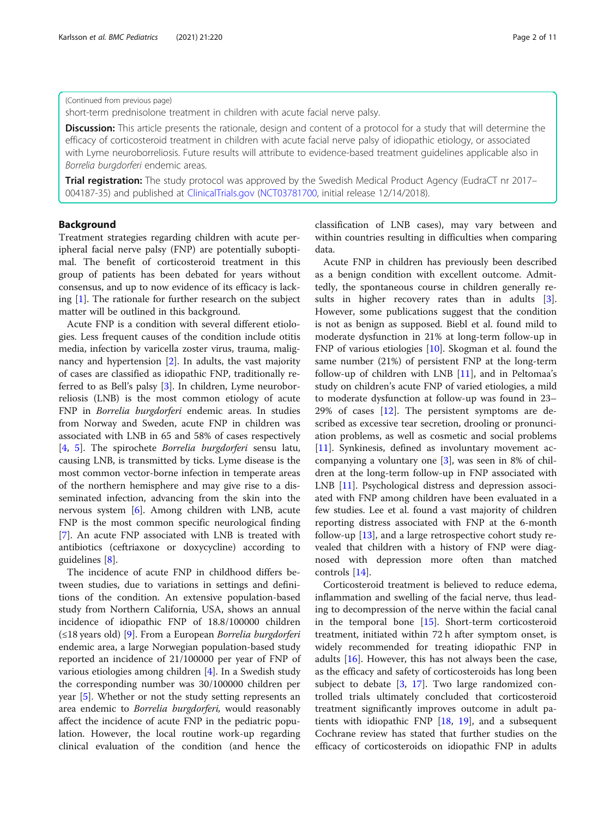# (Continued from previous page)

short-term prednisolone treatment in children with acute facial nerve palsy.

Discussion: This article presents the rationale, design and content of a protocol for a study that will determine the efficacy of corticosteroid treatment in children with acute facial nerve palsy of idiopathic etiology, or associated with Lyme neuroborreliosis. Future results will attribute to evidence-based treatment guidelines applicable also in Borrelia burgdorferi endemic areas.

**Trial registration:** The study protocol was approved by the Swedish Medical Product Agency (EudraCT nr 2017– 004187-35) and published at [ClinicalTrials.gov](http://clinicaltrials.gov) ([NCT03781700,](https://clinicaltrials.gov/ct2/show/NCT03781700) initial release 12/14/2018).

# Background

Treatment strategies regarding children with acute peripheral facial nerve palsy (FNP) are potentially suboptimal. The benefit of corticosteroid treatment in this group of patients has been debated for years without consensus, and up to now evidence of its efficacy is lacking [[1\]](#page-9-0). The rationale for further research on the subject matter will be outlined in this background.

Acute FNP is a condition with several different etiologies. Less frequent causes of the condition include otitis media, infection by varicella zoster virus, trauma, malignancy and hypertension [\[2](#page-9-0)]. In adults, the vast majority of cases are classified as idiopathic FNP, traditionally referred to as Bell's palsy [[3\]](#page-9-0). In children, Lyme neuroborreliosis (LNB) is the most common etiology of acute FNP in Borrelia burgdorferi endemic areas. In studies from Norway and Sweden, acute FNP in children was associated with LNB in 65 and 58% of cases respectively [[4,](#page-9-0) [5](#page-9-0)]. The spirochete Borrelia burgdorferi sensu latu, causing LNB, is transmitted by ticks. Lyme disease is the most common vector-borne infection in temperate areas of the northern hemisphere and may give rise to a disseminated infection, advancing from the skin into the nervous system [\[6\]](#page-9-0). Among children with LNB, acute FNP is the most common specific neurological finding [[7\]](#page-9-0). An acute FNP associated with LNB is treated with antibiotics (ceftriaxone or doxycycline) according to guidelines [[8\]](#page-9-0).

The incidence of acute FNP in childhood differs between studies, due to variations in settings and definitions of the condition. An extensive population-based study from Northern California, USA, shows an annual incidence of idiopathic FNP of 18.8/100000 children  $(\leq 18$  years old) [[9\]](#page-9-0). From a European Borrelia burgdorferi endemic area, a large Norwegian population-based study reported an incidence of 21/100000 per year of FNP of various etiologies among children [[4](#page-9-0)]. In a Swedish study the corresponding number was 30/100000 children per year [\[5](#page-9-0)]. Whether or not the study setting represents an area endemic to Borrelia burgdorferi, would reasonably affect the incidence of acute FNP in the pediatric population. However, the local routine work-up regarding clinical evaluation of the condition (and hence the

classification of LNB cases), may vary between and within countries resulting in difficulties when comparing data.

Acute FNP in children has previously been described as a benign condition with excellent outcome. Admittedly, the spontaneous course in children generally re-sults in higher recovery rates than in adults [\[3](#page-9-0)]. However, some publications suggest that the condition is not as benign as supposed. Biebl et al. found mild to moderate dysfunction in 21% at long-term follow-up in FNP of various etiologies [\[10](#page-9-0)]. Skogman et al. found the same number (21%) of persistent FNP at the long-term follow-up of children with LNB [\[11\]](#page-9-0), and in Peltomaa's study on children's acute FNP of varied etiologies, a mild to moderate dysfunction at follow-up was found in 23– 29% of cases  $[12]$  $[12]$ . The persistent symptoms are described as excessive tear secretion, drooling or pronunciation problems, as well as cosmetic and social problems [[11\]](#page-9-0). Synkinesis, defined as involuntary movement accompanying a voluntary one [\[3\]](#page-9-0), was seen in 8% of children at the long-term follow-up in FNP associated with LNB [[11\]](#page-9-0). Psychological distress and depression associated with FNP among children have been evaluated in a few studies. Lee et al. found a vast majority of children reporting distress associated with FNP at the 6-month follow-up [\[13\]](#page-9-0), and a large retrospective cohort study revealed that children with a history of FNP were diagnosed with depression more often than matched controls [\[14\]](#page-9-0).

Corticosteroid treatment is believed to reduce edema, inflammation and swelling of the facial nerve, thus leading to decompression of the nerve within the facial canal in the temporal bone [[15\]](#page-9-0). Short-term corticosteroid treatment, initiated within 72 h after symptom onset, is widely recommended for treating idiopathic FNP in adults  $[16]$  $[16]$ . However, this has not always been the case, as the efficacy and safety of corticosteroids has long been subject to debate [\[3](#page-9-0), [17](#page-9-0)]. Two large randomized controlled trials ultimately concluded that corticosteroid treatment significantly improves outcome in adult patients with idiopathic FNP [[18](#page-9-0), [19](#page-9-0)], and a subsequent Cochrane review has stated that further studies on the efficacy of corticosteroids on idiopathic FNP in adults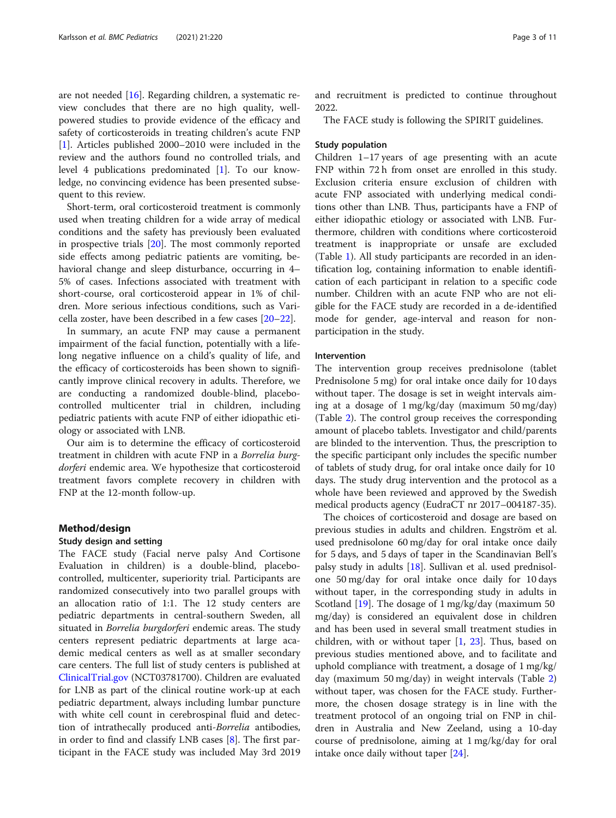are not needed [[16](#page-9-0)]. Regarding children, a systematic review concludes that there are no high quality, wellpowered studies to provide evidence of the efficacy and safety of corticosteroids in treating children's acute FNP [[1\]](#page-9-0). Articles published 2000–2010 were included in the review and the authors found no controlled trials, and level 4 publications predominated [[1\]](#page-9-0). To our knowledge, no convincing evidence has been presented subsequent to this review.

Short-term, oral corticosteroid treatment is commonly used when treating children for a wide array of medical conditions and the safety has previously been evaluated in prospective trials [[20\]](#page-9-0). The most commonly reported side effects among pediatric patients are vomiting, behavioral change and sleep disturbance, occurring in 4– 5% of cases. Infections associated with treatment with short-course, oral corticosteroid appear in 1% of children. More serious infectious conditions, such as Varicella zoster, have been described in a few cases [\[20](#page-9-0)–[22\]](#page-9-0).

In summary, an acute FNP may cause a permanent impairment of the facial function, potentially with a lifelong negative influence on a child's quality of life, and the efficacy of corticosteroids has been shown to significantly improve clinical recovery in adults. Therefore, we are conducting a randomized double-blind, placebocontrolled multicenter trial in children, including pediatric patients with acute FNP of either idiopathic etiology or associated with LNB.

Our aim is to determine the efficacy of corticosteroid treatment in children with acute FNP in a Borrelia burgdorferi endemic area. We hypothesize that corticosteroid treatment favors complete recovery in children with FNP at the 12-month follow-up.

# Method/design

#### Study design and setting

The FACE study (Facial nerve palsy And Cortisone Evaluation in children) is a double-blind, placebocontrolled, multicenter, superiority trial. Participants are randomized consecutively into two parallel groups with an allocation ratio of 1:1. The 12 study centers are pediatric departments in central-southern Sweden, all situated in *Borrelia burgdorferi* endemic areas. The study centers represent pediatric departments at large academic medical centers as well as at smaller secondary care centers. The full list of study centers is published at [ClinicalTrial.gov](http://clinicaltrial.gov) (NCT03781700). Children are evaluated for LNB as part of the clinical routine work-up at each pediatric department, always including lumbar puncture with white cell count in cerebrospinal fluid and detection of intrathecally produced anti-Borrelia antibodies, in order to find and classify LNB cases [[8\]](#page-9-0). The first participant in the FACE study was included May 3rd 2019 and recruitment is predicted to continue throughout 2022.

The FACE study is following the SPIRIT guidelines.

# Study population

Children 1–17 years of age presenting with an acute FNP within 72 h from onset are enrolled in this study. Exclusion criteria ensure exclusion of children with acute FNP associated with underlying medical conditions other than LNB. Thus, participants have a FNP of either idiopathic etiology or associated with LNB. Furthermore, children with conditions where corticosteroid treatment is inappropriate or unsafe are excluded (Table [1\)](#page-3-0). All study participants are recorded in an identification log, containing information to enable identification of each participant in relation to a specific code number. Children with an acute FNP who are not eligible for the FACE study are recorded in a de-identified mode for gender, age-interval and reason for nonparticipation in the study.

# Intervention

The intervention group receives prednisolone (tablet Prednisolone 5 mg) for oral intake once daily for 10 days without taper. The dosage is set in weight intervals aiming at a dosage of 1 mg/kg/day (maximum 50 mg/day) (Table [2](#page-3-0)). The control group receives the corresponding amount of placebo tablets. Investigator and child/parents are blinded to the intervention. Thus, the prescription to the specific participant only includes the specific number of tablets of study drug, for oral intake once daily for 10 days. The study drug intervention and the protocol as a whole have been reviewed and approved by the Swedish medical products agency (EudraCT nr 2017–004187-35).

The choices of corticosteroid and dosage are based on previous studies in adults and children. Engström et al. used prednisolone 60 mg/day for oral intake once daily for 5 days, and 5 days of taper in the Scandinavian Bell's palsy study in adults [[18](#page-9-0)]. Sullivan et al. used prednisolone 50 mg/day for oral intake once daily for 10 days without taper, in the corresponding study in adults in Scotland [\[19](#page-9-0)]. The dosage of 1 mg/kg/day (maximum 50 mg/day) is considered an equivalent dose in children and has been used in several small treatment studies in children, with or without taper  $[1, 23]$  $[1, 23]$  $[1, 23]$  $[1, 23]$ . Thus, based on previous studies mentioned above, and to facilitate and uphold compliance with treatment, a dosage of 1 mg/kg/ day (maximum 50 mg/day) in weight intervals (Table [2](#page-3-0)) without taper, was chosen for the FACE study. Furthermore, the chosen dosage strategy is in line with the treatment protocol of an ongoing trial on FNP in children in Australia and New Zeeland, using a 10-day course of prednisolone, aiming at 1 mg/kg/day for oral intake once daily without taper [\[24](#page-9-0)].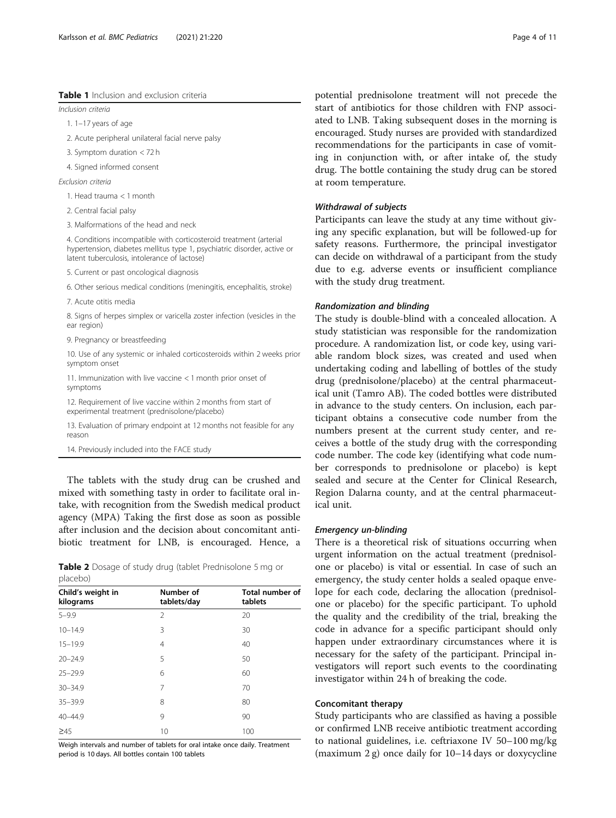# <span id="page-3-0"></span>Table 1 Inclusion and exclusion criteria

Inclusion criteria

1. 1–17 years of age

2. Acute peripheral unilateral facial nerve palsy

3. Symptom duration < 72 h

4. Signed informed consent

Exclusion criteria

1. Head trauma < 1 month

2. Central facial palsy

3. Malformations of the head and neck

4. Conditions incompatible with corticosteroid treatment (arterial hypertension, diabetes mellitus type 1, psychiatric disorder, active or latent tuberculosis, intolerance of lactose)

5. Current or past oncological diagnosis

6. Other serious medical conditions (meningitis, encephalitis, stroke)

7. Acute otitis media

8. Signs of herpes simplex or varicella zoster infection (vesicles in the ear region)

9. Pregnancy or breastfeeding

10. Use of any systemic or inhaled corticosteroids within 2 weeks prior symptom onset

11. Immunization with live vaccine < 1 month prior onset of symptoms

12. Requirement of live vaccine within 2 months from start of experimental treatment (prednisolone/placebo)

13. Evaluation of primary endpoint at 12 months not feasible for any reason

14. Previously included into the FACE study

The tablets with the study drug can be crushed and mixed with something tasty in order to facilitate oral intake, with recognition from the Swedish medical product agency (MPA) Taking the first dose as soon as possible after inclusion and the decision about concomitant antibiotic treatment for LNB, is encouraged. Hence, a

|          |  |  | Table 2 Dosage of study drug (tablet Prednisolone 5 mg or |  |  |
|----------|--|--|-----------------------------------------------------------|--|--|
| placebo) |  |  |                                                           |  |  |

| Child's weight in<br>kilograms | Number of<br>tablets/day | <b>Total number of</b><br>tablets |
|--------------------------------|--------------------------|-----------------------------------|
| $5 - 9.9$                      | $\mathfrak{D}$           | 20                                |
| $10 - 14.9$                    | 3                        | 30                                |
| $15 - 19.9$                    | 4                        | 40                                |
| $20 - 24.9$                    | 5                        | 50                                |
| $25 - 29.9$                    | 6                        | 60                                |
| $30 - 34.9$                    | 7                        | 70                                |
| $35 - 39.9$                    | 8                        | 80                                |
| $40 - 44.9$                    | 9                        | 90                                |
| $\geq 45$                      | 10                       | 100                               |

Weigh intervals and number of tablets for oral intake once daily. Treatment period is 10 days. All bottles contain 100 tablets

potential prednisolone treatment will not precede the start of antibiotics for those children with FNP associated to LNB. Taking subsequent doses in the morning is encouraged. Study nurses are provided with standardized recommendations for the participants in case of vomiting in conjunction with, or after intake of, the study drug. The bottle containing the study drug can be stored at room temperature.

# Withdrawal of subjects

Participants can leave the study at any time without giving any specific explanation, but will be followed-up for safety reasons. Furthermore, the principal investigator can decide on withdrawal of a participant from the study due to e.g. adverse events or insufficient compliance with the study drug treatment.

#### Randomization and blinding

The study is double-blind with a concealed allocation. A study statistician was responsible for the randomization procedure. A randomization list, or code key, using variable random block sizes, was created and used when undertaking coding and labelling of bottles of the study drug (prednisolone/placebo) at the central pharmaceutical unit (Tamro AB). The coded bottles were distributed in advance to the study centers. On inclusion, each participant obtains a consecutive code number from the numbers present at the current study center, and receives a bottle of the study drug with the corresponding code number. The code key (identifying what code number corresponds to prednisolone or placebo) is kept sealed and secure at the Center for Clinical Research, Region Dalarna county, and at the central pharmaceutical unit.

# Emergency un-blinding

There is a theoretical risk of situations occurring when urgent information on the actual treatment (prednisolone or placebo) is vital or essential. In case of such an emergency, the study center holds a sealed opaque envelope for each code, declaring the allocation (prednisolone or placebo) for the specific participant. To uphold the quality and the credibility of the trial, breaking the code in advance for a specific participant should only happen under extraordinary circumstances where it is necessary for the safety of the participant. Principal investigators will report such events to the coordinating investigator within 24 h of breaking the code.

### Concomitant therapy

Study participants who are classified as having a possible or confirmed LNB receive antibiotic treatment according to national guidelines, i.e. ceftriaxone IV 50–100 mg/kg (maximum 2 g) once daily for 10–14 days or doxycycline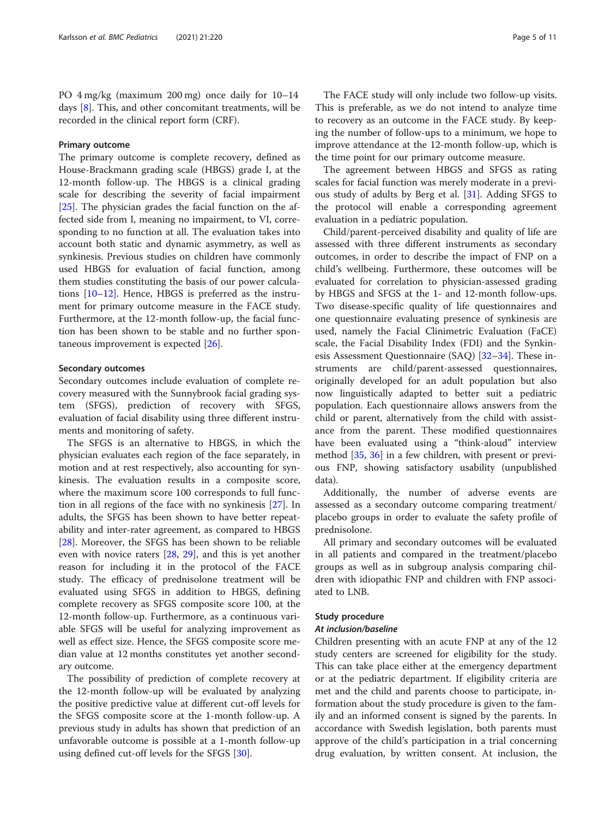PO 4 mg/kg (maximum 200 mg) once daily for 10–14 days [[8\]](#page-9-0). This, and other concomitant treatments, will be recorded in the clinical report form (CRF).

# Primary outcome

The primary outcome is complete recovery, defined as House-Brackmann grading scale (HBGS) grade I, at the 12-month follow-up. The HBGS is a clinical grading scale for describing the severity of facial impairment [[25\]](#page-9-0). The physician grades the facial function on the affected side from I, meaning no impairment, to VI, corresponding to no function at all. The evaluation takes into account both static and dynamic asymmetry, as well as synkinesis. Previous studies on children have commonly used HBGS for evaluation of facial function, among them studies constituting the basis of our power calculations [\[10](#page-9-0)–[12\]](#page-9-0). Hence, HBGS is preferred as the instrument for primary outcome measure in the FACE study. Furthermore, at the 12-month follow-up, the facial function has been shown to be stable and no further spontaneous improvement is expected [\[26](#page-9-0)].

# Secondary outcomes

Secondary outcomes include evaluation of complete recovery measured with the Sunnybrook facial grading system (SFGS), prediction of recovery with SFGS, evaluation of facial disability using three different instruments and monitoring of safety.

The SFGS is an alternative to HBGS, in which the physician evaluates each region of the face separately, in motion and at rest respectively, also accounting for synkinesis. The evaluation results in a composite score, where the maximum score 100 corresponds to full function in all regions of the face with no synkinesis [\[27](#page-9-0)]. In adults, the SFGS has been shown to have better repeatability and inter-rater agreement, as compared to HBGS [[28\]](#page-9-0). Moreover, the SFGS has been shown to be reliable even with novice raters [\[28,](#page-9-0) [29\]](#page-9-0), and this is yet another reason for including it in the protocol of the FACE study. The efficacy of prednisolone treatment will be evaluated using SFGS in addition to HBGS, defining complete recovery as SFGS composite score 100, at the 12-month follow-up. Furthermore, as a continuous variable SFGS will be useful for analyzing improvement as well as effect size. Hence, the SFGS composite score median value at 12 months constitutes yet another secondary outcome.

The possibility of prediction of complete recovery at the 12-month follow-up will be evaluated by analyzing the positive predictive value at different cut-off levels for the SFGS composite score at the 1-month follow-up. A previous study in adults has shown that prediction of an unfavorable outcome is possible at a 1-month follow-up using defined cut-off levels for the SFGS [[30\]](#page-9-0).

The FACE study will only include two follow-up visits. This is preferable, as we do not intend to analyze time to recovery as an outcome in the FACE study. By keeping the number of follow-ups to a minimum, we hope to improve attendance at the 12-month follow-up, which is the time point for our primary outcome measure.

The agreement between HBGS and SFGS as rating scales for facial function was merely moderate in a previous study of adults by Berg et al. [\[31](#page-9-0)]. Adding SFGS to the protocol will enable a corresponding agreement evaluation in a pediatric population.

Child/parent-perceived disability and quality of life are assessed with three different instruments as secondary outcomes, in order to describe the impact of FNP on a child's wellbeing. Furthermore, these outcomes will be evaluated for correlation to physician-assessed grading by HBGS and SFGS at the 1- and 12-month follow-ups. Two disease-specific quality of life questionnaires and one questionnaire evaluating presence of synkinesis are used, namely the Facial Clinimetric Evaluation (FaCE) scale, the Facial Disability Index (FDI) and the Synkinesis Assessment Questionnaire (SAQ) [[32](#page-9-0)–[34](#page-9-0)]. These instruments are child/parent-assessed questionnaires, originally developed for an adult population but also now linguistically adapted to better suit a pediatric population. Each questionnaire allows answers from the child or parent, alternatively from the child with assistance from the parent. These modified questionnaires have been evaluated using a "think-aloud" interview method [\[35](#page-9-0), [36](#page-9-0)] in a few children, with present or previous FNP, showing satisfactory usability (unpublished data).

Additionally, the number of adverse events are assessed as a secondary outcome comparing treatment/ placebo groups in order to evaluate the safety profile of prednisolone.

All primary and secondary outcomes will be evaluated in all patients and compared in the treatment/placebo groups as well as in subgroup analysis comparing children with idiopathic FNP and children with FNP associated to LNB.

### Study procedure

# At inclusion/baseline

Children presenting with an acute FNP at any of the 12 study centers are screened for eligibility for the study. This can take place either at the emergency department or at the pediatric department. If eligibility criteria are met and the child and parents choose to participate, information about the study procedure is given to the family and an informed consent is signed by the parents. In accordance with Swedish legislation, both parents must approve of the child's participation in a trial concerning drug evaluation, by written consent. At inclusion, the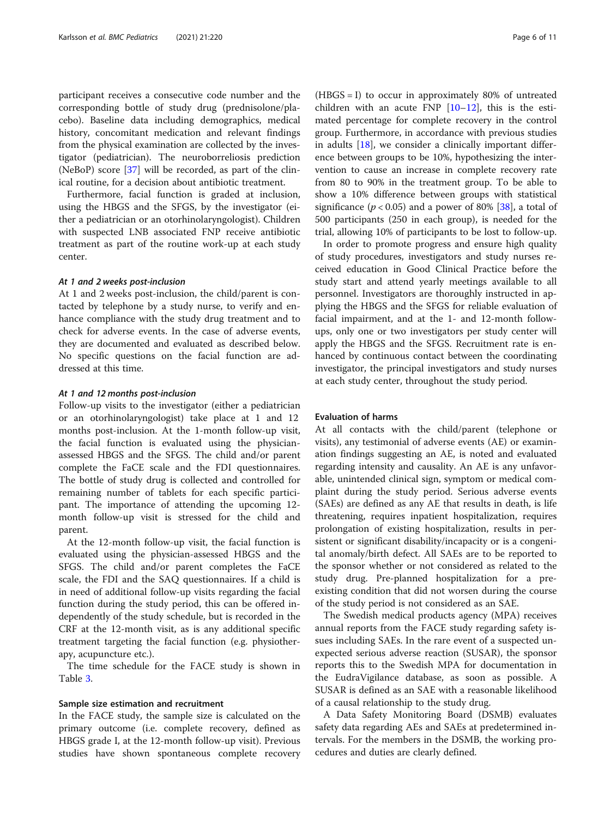participant receives a consecutive code number and the corresponding bottle of study drug (prednisolone/placebo). Baseline data including demographics, medical history, concomitant medication and relevant findings from the physical examination are collected by the investigator (pediatrician). The neuroborreliosis prediction (NeBoP) score [[37\]](#page-9-0) will be recorded, as part of the clinical routine, for a decision about antibiotic treatment.

Furthermore, facial function is graded at inclusion, using the HBGS and the SFGS, by the investigator (either a pediatrician or an otorhinolaryngologist). Children with suspected LNB associated FNP receive antibiotic treatment as part of the routine work-up at each study center.

# At 1 and 2 weeks post-inclusion

At 1 and 2 weeks post-inclusion, the child/parent is contacted by telephone by a study nurse, to verify and enhance compliance with the study drug treatment and to check for adverse events. In the case of adverse events, they are documented and evaluated as described below. No specific questions on the facial function are addressed at this time.

# At 1 and 12 months post-inclusion

Follow-up visits to the investigator (either a pediatrician or an otorhinolaryngologist) take place at 1 and 12 months post-inclusion. At the 1-month follow-up visit, the facial function is evaluated using the physicianassessed HBGS and the SFGS. The child and/or parent complete the FaCE scale and the FDI questionnaires. The bottle of study drug is collected and controlled for remaining number of tablets for each specific participant. The importance of attending the upcoming 12 month follow-up visit is stressed for the child and parent.

At the 12-month follow-up visit, the facial function is evaluated using the physician-assessed HBGS and the SFGS. The child and/or parent completes the FaCE scale, the FDI and the SAQ questionnaires. If a child is in need of additional follow-up visits regarding the facial function during the study period, this can be offered independently of the study schedule, but is recorded in the CRF at the 12-month visit, as is any additional specific treatment targeting the facial function (e.g. physiotherapy, acupuncture etc.).

The time schedule for the FACE study is shown in Table [3.](#page-6-0)

### Sample size estimation and recruitment

In the FACE study, the sample size is calculated on the primary outcome (i.e. complete recovery, defined as HBGS grade I, at the 12-month follow-up visit). Previous studies have shown spontaneous complete recovery (HBGS = I) to occur in approximately 80% of untreated children with an acute  $FNP$   $[10-12]$  $[10-12]$  $[10-12]$ , this is the estimated percentage for complete recovery in the control group. Furthermore, in accordance with previous studies in adults [\[18\]](#page-9-0), we consider a clinically important difference between groups to be 10%, hypothesizing the intervention to cause an increase in complete recovery rate from 80 to 90% in the treatment group. To be able to show a 10% difference between groups with statistical significance ( $p < 0.05$ ) and a power of 80% [[38](#page-9-0)], a total of 500 participants (250 in each group), is needed for the trial, allowing 10% of participants to be lost to follow-up.

In order to promote progress and ensure high quality of study procedures, investigators and study nurses received education in Good Clinical Practice before the study start and attend yearly meetings available to all personnel. Investigators are thoroughly instructed in applying the HBGS and the SFGS for reliable evaluation of facial impairment, and at the 1- and 12-month followups, only one or two investigators per study center will apply the HBGS and the SFGS. Recruitment rate is enhanced by continuous contact between the coordinating investigator, the principal investigators and study nurses at each study center, throughout the study period.

# Evaluation of harms

At all contacts with the child/parent (telephone or visits), any testimonial of adverse events (AE) or examination findings suggesting an AE, is noted and evaluated regarding intensity and causality. An AE is any unfavorable, unintended clinical sign, symptom or medical complaint during the study period. Serious adverse events (SAEs) are defined as any AE that results in death, is life threatening, requires inpatient hospitalization, requires prolongation of existing hospitalization, results in persistent or significant disability/incapacity or is a congenital anomaly/birth defect. All SAEs are to be reported to the sponsor whether or not considered as related to the study drug. Pre-planned hospitalization for a preexisting condition that did not worsen during the course of the study period is not considered as an SAE.

The Swedish medical products agency (MPA) receives annual reports from the FACE study regarding safety issues including SAEs. In the rare event of a suspected unexpected serious adverse reaction (SUSAR), the sponsor reports this to the Swedish MPA for documentation in the EudraVigilance database, as soon as possible. A SUSAR is defined as an SAE with a reasonable likelihood of a causal relationship to the study drug.

A Data Safety Monitoring Board (DSMB) evaluates safety data regarding AEs and SAEs at predetermined intervals. For the members in the DSMB, the working procedures and duties are clearly defined.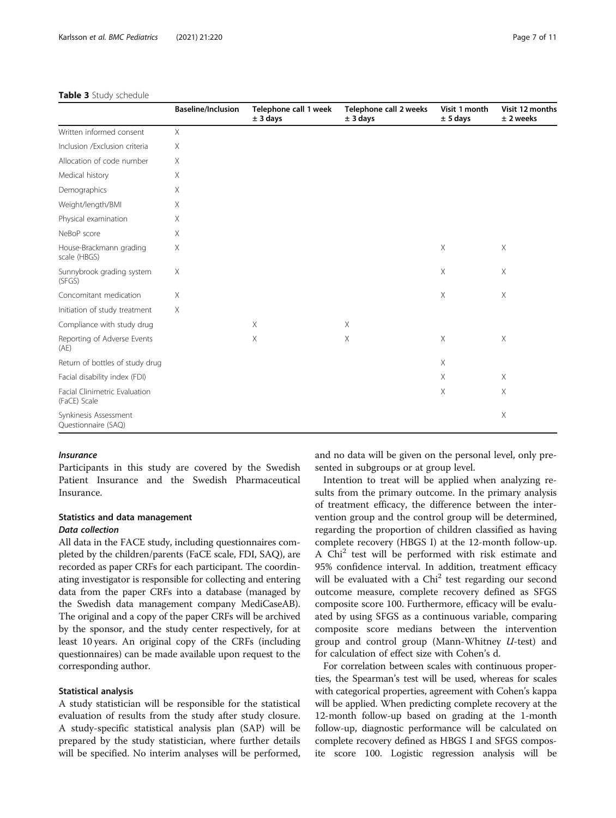#### <span id="page-6-0"></span>Table 3 Study schedule

|                                               | <b>Baseline/Inclusion</b> | Telephone call 1 week<br>± 3 days | Telephone call 2 weeks<br>± 3 days | Visit 1 month<br>± 5 days | Visit 12 months<br>$±$ 2 weeks |
|-----------------------------------------------|---------------------------|-----------------------------------|------------------------------------|---------------------------|--------------------------------|
| Written informed consent                      | $\times$                  |                                   |                                    |                           |                                |
| Inclusion /Exclusion criteria                 | X                         |                                   |                                    |                           |                                |
| Allocation of code number                     | X                         |                                   |                                    |                           |                                |
| Medical history                               | Χ                         |                                   |                                    |                           |                                |
| Demographics                                  | X                         |                                   |                                    |                           |                                |
| Weight/length/BMI                             | X                         |                                   |                                    |                           |                                |
| Physical examination                          | X                         |                                   |                                    |                           |                                |
| NeBoP score                                   | X                         |                                   |                                    |                           |                                |
| House-Brackmann grading<br>scale (HBGS)       | Χ                         |                                   |                                    | X                         | $\times$                       |
| Sunnybrook grading system<br>(SFGS)           | X                         |                                   |                                    | X                         | X                              |
| Concomitant medication                        | Χ                         |                                   |                                    | $\times$                  | X                              |
| Initiation of study treatment                 | X                         |                                   |                                    |                           |                                |
| Compliance with study drug                    |                           | $\times$                          | $\times$                           |                           |                                |
| Reporting of Adverse Events<br>(AE)           |                           | $\times$                          | $\times$                           | $\times$                  | $\times$                       |
| Return of bottles of study drug               |                           |                                   |                                    | $\times$                  |                                |
| Facial disability index (FDI)                 |                           |                                   |                                    | $\times$                  | $\times$                       |
| Facial Clinimetric Evaluation<br>(FaCE) Scale |                           |                                   |                                    | X                         | $\times$                       |
| Synkinesis Assessment<br>Questionnaire (SAQ)  |                           |                                   |                                    |                           | X                              |

# Insurance

Participants in this study are covered by the Swedish Patient Insurance and the Swedish Pharmaceutical Insurance.

# Statistics and data management Data collection

All data in the FACE study, including questionnaires completed by the children/parents (FaCE scale, FDI, SAQ), are recorded as paper CRFs for each participant. The coordinating investigator is responsible for collecting and entering data from the paper CRFs into a database (managed by the Swedish data management company MediCaseAB). The original and a copy of the paper CRFs will be archived by the sponsor, and the study center respectively, for at least 10 years. An original copy of the CRFs (including questionnaires) can be made available upon request to the corresponding author.

## Statistical analysis

A study statistician will be responsible for the statistical evaluation of results from the study after study closure. A study-specific statistical analysis plan (SAP) will be prepared by the study statistician, where further details will be specified. No interim analyses will be performed, and no data will be given on the personal level, only presented in subgroups or at group level.

Intention to treat will be applied when analyzing results from the primary outcome. In the primary analysis of treatment efficacy, the difference between the intervention group and the control group will be determined, regarding the proportion of children classified as having complete recovery (HBGS I) at the 12-month follow-up. A Chi<sup>2</sup> test will be performed with risk estimate and 95% confidence interval. In addition, treatment efficacy will be evaluated with a  $Chi<sup>2</sup>$  test regarding our second outcome measure, complete recovery defined as SFGS composite score 100. Furthermore, efficacy will be evaluated by using SFGS as a continuous variable, comparing composite score medians between the intervention group and control group (Mann-Whitney U-test) and for calculation of effect size with Cohen's d.

For correlation between scales with continuous properties, the Spearman's test will be used, whereas for scales with categorical properties, agreement with Cohen's kappa will be applied. When predicting complete recovery at the 12-month follow-up based on grading at the 1-month follow-up, diagnostic performance will be calculated on complete recovery defined as HBGS I and SFGS composite score 100. Logistic regression analysis will be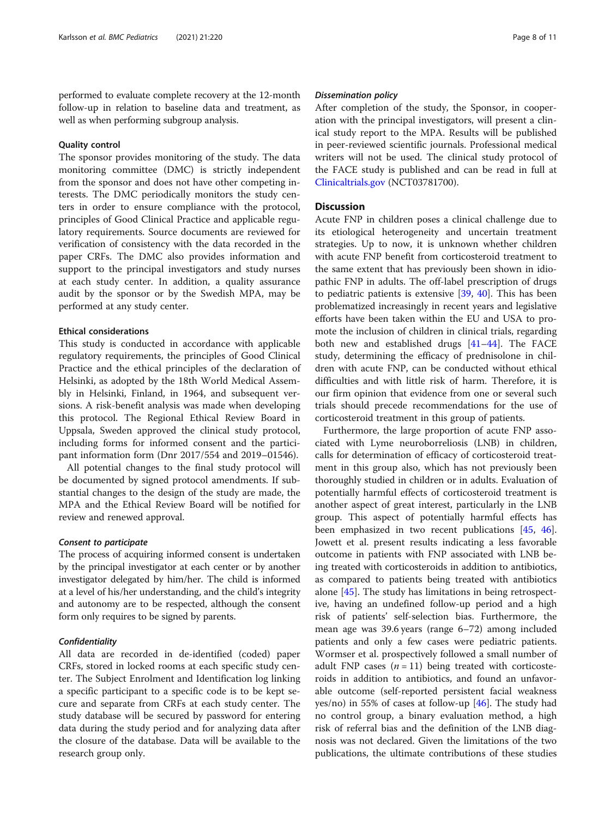performed to evaluate complete recovery at the 12-month follow-up in relation to baseline data and treatment, as well as when performing subgroup analysis.

# Quality control

The sponsor provides monitoring of the study. The data monitoring committee (DMC) is strictly independent from the sponsor and does not have other competing interests. The DMC periodically monitors the study centers in order to ensure compliance with the protocol, principles of Good Clinical Practice and applicable regulatory requirements. Source documents are reviewed for verification of consistency with the data recorded in the paper CRFs. The DMC also provides information and support to the principal investigators and study nurses at each study center. In addition, a quality assurance audit by the sponsor or by the Swedish MPA, may be performed at any study center.

# Ethical considerations

This study is conducted in accordance with applicable regulatory requirements, the principles of Good Clinical Practice and the ethical principles of the declaration of Helsinki, as adopted by the 18th World Medical Assembly in Helsinki, Finland, in 1964, and subsequent versions. A risk-benefit analysis was made when developing this protocol. The Regional Ethical Review Board in Uppsala, Sweden approved the clinical study protocol, including forms for informed consent and the participant information form (Dnr 2017/554 and 2019–01546).

All potential changes to the final study protocol will be documented by signed protocol amendments. If substantial changes to the design of the study are made, the MPA and the Ethical Review Board will be notified for review and renewed approval.

# Consent to participate

The process of acquiring informed consent is undertaken by the principal investigator at each center or by another investigator delegated by him/her. The child is informed at a level of his/her understanding, and the child's integrity and autonomy are to be respected, although the consent form only requires to be signed by parents.

# **Confidentiality**

All data are recorded in de-identified (coded) paper CRFs, stored in locked rooms at each specific study center. The Subject Enrolment and Identification log linking a specific participant to a specific code is to be kept secure and separate from CRFs at each study center. The study database will be secured by password for entering data during the study period and for analyzing data after the closure of the database. Data will be available to the research group only.

# Dissemination policy

After completion of the study, the Sponsor, in cooperation with the principal investigators, will present a clinical study report to the MPA. Results will be published in peer-reviewed scientific journals. Professional medical writers will not be used. The clinical study protocol of the FACE study is published and can be read in full at [Clinicaltrials.gov](http://clinicaltrials.gov) (NCT03781700).

# **Discussion**

Acute FNP in children poses a clinical challenge due to its etiological heterogeneity and uncertain treatment strategies. Up to now, it is unknown whether children with acute FNP benefit from corticosteroid treatment to the same extent that has previously been shown in idiopathic FNP in adults. The off-label prescription of drugs to pediatric patients is extensive [[39,](#page-9-0) [40](#page-9-0)]. This has been problematized increasingly in recent years and legislative efforts have been taken within the EU and USA to promote the inclusion of children in clinical trials, regarding both new and established drugs [\[41](#page-9-0)–[44\]](#page-9-0). The FACE study, determining the efficacy of prednisolone in children with acute FNP, can be conducted without ethical difficulties and with little risk of harm. Therefore, it is our firm opinion that evidence from one or several such trials should precede recommendations for the use of corticosteroid treatment in this group of patients.

Furthermore, the large proportion of acute FNP associated with Lyme neuroborreliosis (LNB) in children, calls for determination of efficacy of corticosteroid treatment in this group also, which has not previously been thoroughly studied in children or in adults. Evaluation of potentially harmful effects of corticosteroid treatment is another aspect of great interest, particularly in the LNB group. This aspect of potentially harmful effects has been emphasized in two recent publications [[45,](#page-9-0) [46](#page-9-0)]. Jowett et al. present results indicating a less favorable outcome in patients with FNP associated with LNB being treated with corticosteroids in addition to antibiotics, as compared to patients being treated with antibiotics alone [[45\]](#page-9-0). The study has limitations in being retrospective, having an undefined follow-up period and a high risk of patients' self-selection bias. Furthermore, the mean age was 39.6 years (range 6–72) among included patients and only a few cases were pediatric patients. Wormser et al. prospectively followed a small number of adult FNP cases  $(n = 11)$  being treated with corticosteroids in addition to antibiotics, and found an unfavorable outcome (self-reported persistent facial weakness yes/no) in 55% of cases at follow-up [[46](#page-9-0)]. The study had no control group, a binary evaluation method, a high risk of referral bias and the definition of the LNB diagnosis was not declared. Given the limitations of the two publications, the ultimate contributions of these studies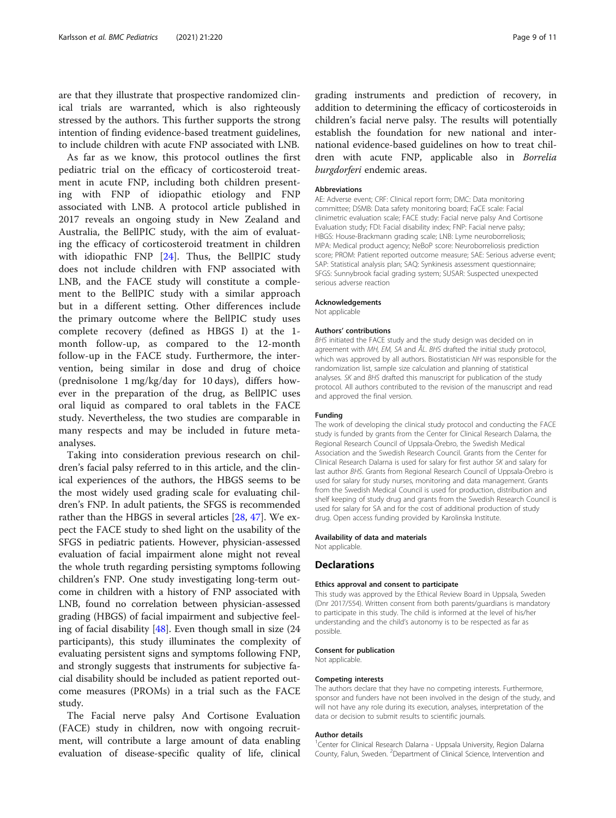are that they illustrate that prospective randomized clinical trials are warranted, which is also righteously stressed by the authors. This further supports the strong intention of finding evidence-based treatment guidelines, to include children with acute FNP associated with LNB.

As far as we know, this protocol outlines the first pediatric trial on the efficacy of corticosteroid treatment in acute FNP, including both children presenting with FNP of idiopathic etiology and FNP associated with LNB. A protocol article published in 2017 reveals an ongoing study in New Zealand and Australia, the BellPIC study, with the aim of evaluating the efficacy of corticosteroid treatment in children with idiopathic FNP [[24\]](#page-9-0). Thus, the BellPIC study does not include children with FNP associated with LNB, and the FACE study will constitute a complement to the BellPIC study with a similar approach but in a different setting. Other differences include the primary outcome where the BellPIC study uses complete recovery (defined as HBGS I) at the 1 month follow-up, as compared to the 12-month follow-up in the FACE study. Furthermore, the intervention, being similar in dose and drug of choice (prednisolone 1 mg/kg/day for 10 days), differs however in the preparation of the drug, as BellPIC uses oral liquid as compared to oral tablets in the FACE study. Nevertheless, the two studies are comparable in many respects and may be included in future metaanalyses.

Taking into consideration previous research on children's facial palsy referred to in this article, and the clinical experiences of the authors, the HBGS seems to be the most widely used grading scale for evaluating children's FNP. In adult patients, the SFGS is recommended rather than the HBGS in several articles [\[28](#page-9-0), [47](#page-10-0)]. We expect the FACE study to shed light on the usability of the SFGS in pediatric patients. However, physician-assessed evaluation of facial impairment alone might not reveal the whole truth regarding persisting symptoms following children's FNP. One study investigating long-term outcome in children with a history of FNP associated with LNB, found no correlation between physician-assessed grading (HBGS) of facial impairment and subjective feeling of facial disability  $[48]$  $[48]$ . Even though small in size (24 participants), this study illuminates the complexity of evaluating persistent signs and symptoms following FNP, and strongly suggests that instruments for subjective facial disability should be included as patient reported outcome measures (PROMs) in a trial such as the FACE study.

The Facial nerve palsy And Cortisone Evaluation (FACE) study in children, now with ongoing recruitment, will contribute a large amount of data enabling evaluation of disease-specific quality of life, clinical

grading instruments and prediction of recovery, in addition to determining the efficacy of corticosteroids in children's facial nerve palsy. The results will potentially establish the foundation for new national and international evidence-based guidelines on how to treat children with acute FNP, applicable also in Borrelia burgdorferi endemic areas.

#### Abbreviations

AE: Adverse event; CRF: Clinical report form; DMC: Data monitoring committee; DSMB: Data safety monitoring board; FaCE scale: Facial clinimetric evaluation scale; FACE study: Facial nerve palsy And Cortisone Evaluation study; FDI: Facial disability index; FNP: Facial nerve palsy; HBGS: House-Brackmann grading scale; LNB: Lyme neuroborreliosis; MPA: Medical product agency; NeBoP score: Neuroborreliosis prediction score; PROM: Patient reported outcome measure; SAE: Serious adverse event; SAP: Statistical analysis plan; SAQ: Synkinesis assessment questionnaire; SFGS: Sunnybrook facial grading system; SUSAR: Suspected unexpected serious adverse reaction

# Acknowledgements

Not applicable

#### Authors' contributions

BHS initiated the FACE study and the study design was decided on in agreement with MH, EM, SA and ÅL. BHS drafted the initial study protocol, which was approved by all authors. Biostatistician NH was responsible for the randomization list, sample size calculation and planning of statistical analyses. SK and BHS drafted this manuscript for publication of the study protocol. All authors contributed to the revision of the manuscript and read and approved the final version.

#### Funding

The work of developing the clinical study protocol and conducting the FACE study is funded by grants from the Center for Clinical Research Dalarna, the Regional Research Council of Uppsala-Örebro, the Swedish Medical Association and the Swedish Research Council. Grants from the Center for Clinical Research Dalarna is used for salary for first author SK and salary for last author BHS. Grants from Regional Research Council of Uppsala-Örebro is used for salary for study nurses, monitoring and data management. Grants from the Swedish Medical Council is used for production, distribution and shelf keeping of study drug and grants from the Swedish Research Council is used for salary for SA and for the cost of additional production of study drug. Open access funding provided by Karolinska Institute.

#### Availability of data and materials

Not applicable.

#### **Declarations**

#### Ethics approval and consent to participate

This study was approved by the Ethical Review Board in Uppsala, Sweden (Dnr 2017/554). Written consent from both parents/guardians is mandatory to participate in this study. The child is informed at the level of his/her understanding and the child's autonomy is to be respected as far as possible.

#### Consent for publication

Not applicable.

#### Competing interests

The authors declare that they have no competing interests. Furthermore, sponsor and funders have not been involved in the design of the study, and will not have any role during its execution, analyses, interpretation of the data or decision to submit results to scientific journals.

#### Author details

<sup>1</sup> Center for Clinical Research Dalarna - Uppsala University, Region Dalarna County, Falun, Sweden. <sup>2</sup>Department of Clinical Science, Intervention and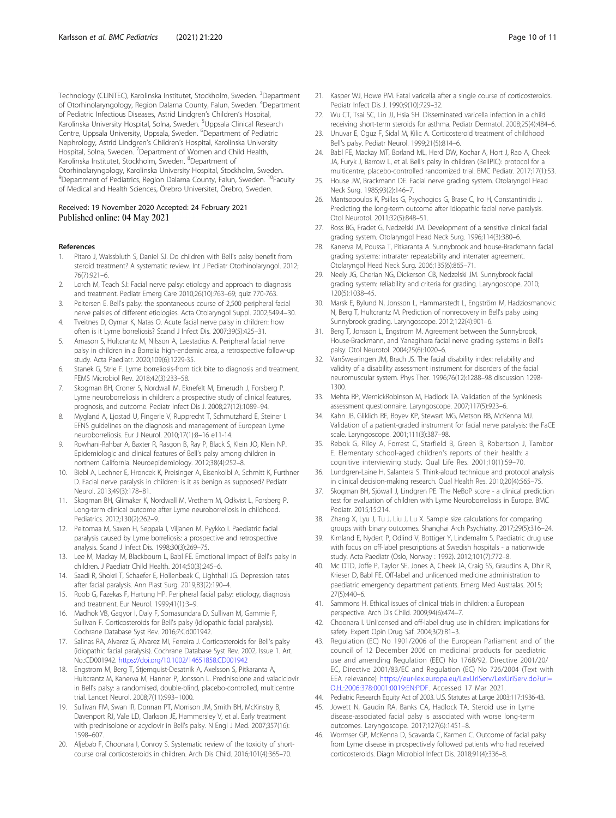<span id="page-9-0"></span>Technology (CLINTEC), Karolinska Institutet, Stockholm, Sweden. <sup>3</sup>Department of Otorhinolaryngology, Region Dalarna County, Falun, Sweden. <sup>4</sup>Department of Pediatric Infectious Diseases, Astrid Lindgren's Children's Hospital, Karolinska University Hospital, Solna, Sweden. <sup>5</sup>Uppsala Clinical Research Centre, Uppsala University, Uppsala, Sweden. <sup>6</sup>Department of Pediatric Nephrology, Astrid Lindgren's Children's Hospital, Karolinska University Hospital, Solna, Sweden. <sup>7</sup>Department of Women and Child Health, Karolinska Institutet, Stockholm, Sweden. <sup>8</sup>Department of Otorhinolaryngology, Karolinska University Hospital, Stockholm, Sweden. <sup>9</sup>Department of Pediatrics, Region Dalarna County, Falun, Sweden. <sup>10</sup>Faculty of Medical and Health Sciences, Örebro Universitet, Örebro, Sweden.

# Received: 19 November 2020 Accepted: 24 February 2021 Published online: 04 May 2021

#### References

- Pitaro J, Waissbluth S, Daniel SJ. Do children with Bell's palsy benefit from steroid treatment? A systematic review. Int J Pediatr Otorhinolaryngol. 2012; 76(7):921–6.
- 2. Lorch M, Teach SJ: Facial nerve palsy: etiology and approach to diagnosis and treatment. Pediatr Emerg Care 2010;26(10):763–69; quiz 770-763.
- 3. Peitersen E. Bell's palsy: the spontaneous course of 2,500 peripheral facial nerve palsies of different etiologies. Acta Otolaryngol Suppl. 2002;549:4–30.
- 4. Tveitnes D, Oymar K, Natas O. Acute facial nerve palsy in children: how often is it Lyme borreliosis? Scand J Infect Dis. 2007;39(5):425–31.
- 5. Arnason S, Hultcrantz M, Nilsson A, Laestadius A. Peripheral facial nerve palsy in children in a Borrelia high-endemic area, a retrospective follow-up study. Acta Paediatr. 2020;109(6):1229-35.
- 6. Stanek G, Strle F. Lyme borreliosis-from tick bite to diagnosis and treatment. FEMS Microbiol Rev. 2018;42(3):233–58.
- 7. Skogman BH, Croner S, Nordwall M, Eknefelt M, Ernerudh J, Forsberg P. Lyme neuroborreliosis in children: a prospective study of clinical features, prognosis, and outcome. Pediatr Infect Dis J. 2008;27(12):1089–94.
- 8. Mygland A, Ljostad U, Fingerle V, Rupprecht T, Schmutzhard E, Steiner I. EFNS guidelines on the diagnosis and management of European Lyme neuroborreliosis. Eur J Neurol. 2010;17(1):8–16 e11-14.
- Rowhani-Rahbar A, Baxter R, Rasgon B, Ray P, Black S, Klein JO, Klein NP. Epidemiologic and clinical features of Bell's palsy among children in northern California. Neuroepidemiology. 2012;38(4):252–8.
- 10. Biebl A, Lechner E, Hroncek K, Preisinger A, Eisenkolbl A, Schmitt K, Furthner D. Facial nerve paralysis in children: is it as benign as supposed? Pediatr Neurol. 2013;49(3):178–81.
- 11. Skogman BH, Glimaker K, Nordwall M, Vrethem M, Odkvist L, Forsberg P. Long-term clinical outcome after Lyme neuroborreliosis in childhood. Pediatrics. 2012;130(2):262–9.
- 12. Peltomaa M, Saxen H, Seppala I, Viljanen M, Pyykko I. Paediatric facial paralysis caused by Lyme borreliosis: a prospective and retrospective analysis. Scand J Infect Dis. 1998;30(3):269–75.
- 13. Lee M, Mackay M, Blackbourn L, Babl FE. Emotional impact of Bell's palsy in children. J Paediatr Child Health. 2014;50(3):245–6.
- 14. Saadi R, Shokri T, Schaefer E, Hollenbeak C, Lighthall JG. Depression rates after facial paralysis. Ann Plast Surg. 2019;83(2):190–4.
- 15. Roob G, Fazekas F, Hartung HP. Peripheral facial palsy: etiology, diagnosis and treatment. Eur Neurol. 1999;41(1):3–9.
- 16. Madhok VB, Gagyor I, Daly F, Somasundara D, Sullivan M, Gammie F, Sullivan F. Corticosteroids for Bell's palsy (idiopathic facial paralysis). Cochrane Database Syst Rev. 2016;7:Cd001942.
- 17. Salinas RA, Alvarez G, Alvarez MI, Ferreira J. Corticosteroids for Bell's palsy (idiopathic facial paralysis). Cochrane Database Syst Rev. 2002, Issue 1. Art. No.:CD001942. <https://doi.org/10.1002/14651858.CD001942>
- 18. Engstrom M, Berg T, Stjernquist-Desatnik A, Axelsson S, Pitkaranta A, Hultcrantz M, Kanerva M, Hanner P, Jonsson L. Prednisolone and valaciclovir in Bell's palsy: a randomised, double-blind, placebo-controlled, multicentre trial. Lancet Neurol. 2008;7(11):993–1000.
- 19. Sullivan FM, Swan IR, Donnan PT, Morrison JM, Smith BH, McKinstry B, Davenport RJ, Vale LD, Clarkson JE, Hammersley V, et al. Early treatment with prednisolone or acyclovir in Bell's palsy. N Engl J Med. 2007;357(16): 1598–607.
- 20. Aljebab F, Choonara I, Conroy S. Systematic review of the toxicity of shortcourse oral corticosteroids in children. Arch Dis Child. 2016;101(4):365–70.
- 21. Kasper WJ, Howe PM. Fatal varicella after a single course of corticosteroids. Pediatr Infect Dis J. 1990;9(10):729–32.
- 22. Wu CT, Tsai SC, Lin JJ, Hsia SH, Disseminated varicella infection in a child
- receiving short-term steroids for asthma. Pediatr Dermatol. 2008;25(4):484–6. 23. Unuvar E, Oguz F, Sidal M, Kilic A. Corticosteroid treatment of childhood
- Bell's palsy. Pediatr Neurol. 1999;21(5):814–6. 24. Babl FE, Mackay MT, Borland ML, Herd DW, Kochar A, Hort J, Rao A, Cheek JA, Furyk J, Barrow L, et al. Bell's palsy in children (BellPIC): protocol for a
- multicentre, placebo-controlled randomized trial. BMC Pediatr. 2017;17(1):53. 25. House JW, Brackmann DE. Facial nerve grading system. Otolaryngol Head Neck Surg. 1985;93(2):146–7.
- 26. Mantsopoulos K, Psillas G, Psychogios G, Brase C, Iro H, Constantinidis J. Predicting the long-term outcome after idiopathic facial nerve paralysis. Otol Neurotol. 2011;32(5):848–51.
- 27. Ross BG, Fradet G, Nedzelski JM. Development of a sensitive clinical facial grading system. Otolaryngol Head Neck Surg. 1996;114(3):380–6.
- 28. Kanerva M, Poussa T, Pitkaranta A. Sunnybrook and house-Brackmann facial grading systems: intrarater repeatability and interrater agreement. Otolaryngol Head Neck Surg. 2006;135(6):865–71.
- 29. Neely JG, Cherian NG, Dickerson CB, Nedzelski JM. Sunnybrook facial grading system: reliability and criteria for grading. Laryngoscope. 2010; 120(5):1038–45.
- 30. Marsk E, Bylund N, Jonsson L, Hammarstedt L, Engström M, Hadziosmanovic N, Berg T, Hultcrantz M. Prediction of nonrecovery in Bell's palsy using Sunnybrook grading. Laryngoscope. 2012;122(4):901–6.
- 31. Berg T, Jonsson L, Engstrom M. Agreement between the Sunnybrook, House-Brackmann, and Yanagihara facial nerve grading systems in Bell's palsy. Otol Neurotol. 2004;25(6):1020–6.
- 32. VanSwearingen JM, Brach JS. The facial disability index: reliability and validity of a disability assessment instrument for disorders of the facial neuromuscular system. Phys Ther. 1996;76(12):1288–98 discussion 1298- 1300.
- 33. Mehta RP, WernickRobinson M, Hadlock TA. Validation of the Synkinesis assessment questionnaire. Laryngoscope. 2007;117(5):923–6.
- 34. Kahn JB, Gliklich RE, Boyev KP, Stewart MG, Metson RB, McKenna MJ. Validation of a patient-graded instrument for facial nerve paralysis: the FaCE scale. Laryngoscope. 2001;111(3):387–98.
- 35. Rebok G, Riley A, Forrest C, Starfield B, Green B, Robertson J, Tambor E. Elementary school-aged children's reports of their health: a cognitive interviewing study. Qual Life Res. 2001;10(1):59–70.
- 36. Lundgren-Laine H, Salantera S. Think-aloud technique and protocol analysis in clinical decision-making research. Qual Health Res. 2010;20(4):565–75.
- 37. Skogman BH, Sjöwall J, Lindgren PE. The NeBoP score a clinical prediction test for evaluation of children with Lyme Neuroborreliosis in Europe. BMC Pediatr. 2015;15:214.
- 38. Zhang X, Lyu J, Tu J, Liu J, Lu X. Sample size calculations for comparing groups with binary outcomes. Shanghai Arch Psychiatry. 2017;29(5):316–24.
- 39. Kimland E, Nydert P, Odlind V, Bottiger Y, Lindemalm S. Paediatric drug use with focus on off-label prescriptions at Swedish hospitals - a nationwide study. Acta Paediatr (Oslo, Norway : 1992). 2012;101(7):772–8.
- 40. Mc DTD, Joffe P, Taylor SE, Jones A, Cheek JA, Craig SS, Graudins A, Dhir R, Krieser D, Babl FE. Off-label and unlicenced medicine administration to paediatric emergency department patients. Emerg Med Australas. 2015; 27(5):440–6.
- 41. Sammons H. Ethical issues of clinical trials in children: a European perspective. Arch Dis Child. 2009;94(6):474–7.
- 42. Choonara I. Unlicensed and off-label drug use in children: implications for safety. Expert Opin Drug Saf. 2004;3(2):81–3.
- 43. Regulation (EC) No 1901/2006 of the European Parliament and of the council of 12 December 2006 on medicinal products for paediatric use and amending Regulation (EEC) No 1768/92, Directive 2001/20/ EC, Directive 2001/83/EC and Regulation (EC) No 726/2004 (Text with EEA relevance) [https://eur-lex.europa.eu/LexUriServ/LexUriServ.do?uri=](https://eur-lex.europa.eu/LexUriServ/LexUriServ.do?uri=OJ:L:2006:378:0001:0019:EN:PDF) [OJ:L:2006:378:0001:0019:EN:PDF.](https://eur-lex.europa.eu/LexUriServ/LexUriServ.do?uri=OJ:L:2006:378:0001:0019:EN:PDF) Accessed 17 Mar 2021.
- 44. Pediatric Research Equity Act of 2003. U.S. Statutes at Large 2003;117:1936-43.
- 45. Jowett N, Gaudin RA, Banks CA, Hadlock TA. Steroid use in Lyme disease-associated facial palsy is associated with worse long-term outcomes. Laryngoscope. 2017;127(6):1451–8.
- 46. Wormser GP, McKenna D, Scavarda C, Karmen C. Outcome of facial palsy from Lyme disease in prospectively followed patients who had received corticosteroids. Diagn Microbiol Infect Dis. 2018;91(4):336–8.